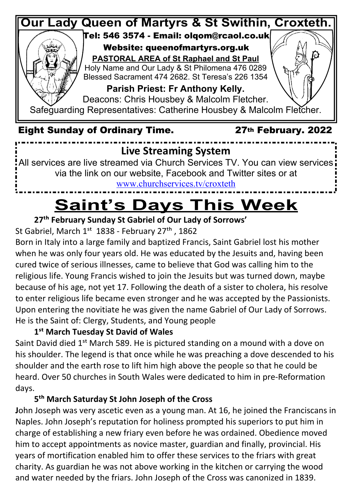

via the link on our website, Facebook and Twitter sites or at www.churchservices.tv/croxteth

### **Saint's Days This Week**

#### **27th February Sunday St Gabriel of Our Lady of Sorrows'**

St Gabriel, March 1<sup>st</sup> 1838 - February 27<sup>th</sup>, 1862

Born in Italy into a large family and baptized Francis, Saint Gabriel lost his mother when he was only four years old. He was educated by the Jesuits and, having been cured twice of serious illnesses, came to believe that God was calling him to the religious life. Young Francis wished to join the Jesuits but was turned down, maybe because of his age, not yet 17. Following the death of a sister to cholera, his resolve to enter religious life became even stronger and he was accepted by the Passionists. Upon entering the novitiate he was given the name Gabriel of Our Lady of Sorrows. He is the Saint of: Clergy, Students, and Young people

 **1st March Tuesday St David of Wales**

Saint David died 1<sup>st</sup> March 589. He is pictured standing on a mound with a dove on his shoulder. The legend is that once while he was preaching a dove descended to his shoulder and the earth rose to lift him high above the people so that he could be heard. Over 50 churches in South Wales were dedicated to him in pre-Reformation days.

#### **5th March Saturday St John Joseph of the Cross**

**J**ohn Joseph was very ascetic even as a young man. At 16, he joined the Franciscans in Naples. John Joseph's reputation for holiness prompted his superiors to put him in charge of establishing a new friary even before he was ordained. Obedience moved him to accept appointments as novice master, guardian and finally, provincial. His years of mortification enabled him to offer these services to the friars with great charity. As guardian he was not above working in the kitchen or carrying the wood and water needed by the friars. John Joseph of the Cross was canonized in 1839.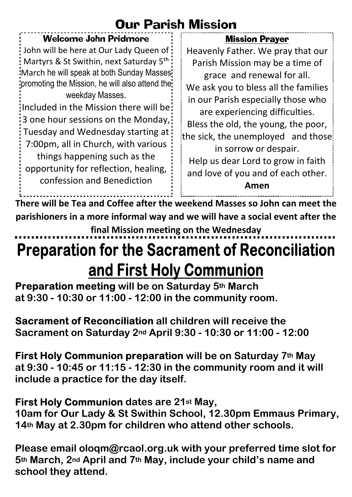#### Our Parish Mission

| <b>Welcome John Pridmore</b>                                                                                                                                                                                                                                                                                                                                                                                                                                                                                                                                                   | <b>Mission Prayer</b>                                                                                                                                                                                                                                                                                                                                                                                        |
|--------------------------------------------------------------------------------------------------------------------------------------------------------------------------------------------------------------------------------------------------------------------------------------------------------------------------------------------------------------------------------------------------------------------------------------------------------------------------------------------------------------------------------------------------------------------------------|--------------------------------------------------------------------------------------------------------------------------------------------------------------------------------------------------------------------------------------------------------------------------------------------------------------------------------------------------------------------------------------------------------------|
| : John will be here at Our Lady Queen of :<br>: Martyrs & St Swithin, next Saturday 5 <sup>th</sup> :<br>March he will speak at both Sunday Masses:<br>promoting the Mission, he will also attend the:<br>weekday Masses.<br>Included in the Mission there will be:<br>:3 one hour sessions on the Monday,<br>: Tuesday and Wednesday starting at :<br>7:00pm, all in Church, with various<br>things happening such as the<br>opportunity for reflection, healing,<br>confession and Benediction<br>There will be Tea and Coffee after the weekend Masses so John can meet the | Heavenly Father. We pray that our<br>Parish Mission may be a time of<br>grace and renewal for all.<br>We ask you to bless all the families<br>in our Parish especially those who<br>are experiencing difficulties.<br>Bless the old, the young, the poor,<br>the sick, the unemployed and those<br>in sorrow or despair.<br>Help us dear Lord to grow in faith<br>and love of you and of each other.<br>Amen |

**There will be Tea and Coffee after the weekend Masses so John can meet the parishioners in a more informal way and we will have a social event after the final Mission meeting on the Wednesday**

### **Preparation for the Sacrament of Reconciliation** and First Holy Communion

 **Preparation meeting will be on Saturday 5<sup>th</sup> March at 9:30 - 10:30 or 11:00 - 12:00 in the community room.**

**Sacrament of Reconciliation all children will receive the Sacrament on Saturday 2nd April 9:30 - 10:30 or 11:00 - 12:00**

 **First Holy Communion preparation will be on Saturday 7<sup>th</sup> May at 9:30 - 10:45 or 11:15 - 12:30 in the community room and it will include a practice for the day itself.**

**First Holy Communion dates are 21st May, 10am for Our Lady & St Swithin School, 12.30pm Emmaus Primary, 14th May at 2.30pm for children who attend other schools.**

**Please email oloqm@rcaol.org.uk with your preferred time slot for 5th March, 2nd April and 7th May, include your child's name and school they attend.**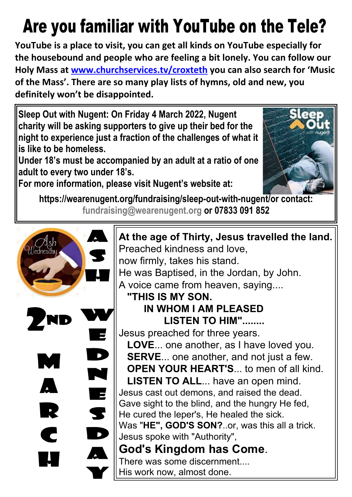# **Are you familiar with YouTube on the Tele?**

**YouTube is a place to visit, you can get all kinds on YouTube especially for the housebound and people who are feeling a bit lonely. You can follow our Holy Mass at www.churchservices.tv/croxteth you can also search for 'Music of the Mass'. There are so many play lists of hymns, old and new, you definitely won't be disappointed.**

**Sleep Out with Nugent: On Friday 4 March 2022, Nugent charity will be asking supporters to give up their bed for the night to experience just a fraction of the challenges of what it is like to be homeless.**

**Under 18's must be accompanied by an adult at a ratio of one adult to every two under 18's.**



**For more information, please visit Nugent's website at:**

**https://wearenugent.org/fundraising/sleep-out-with-nugent/or contact: [fundraising@wearenugent.org](mailto:fundraising@wearenugent.org) or 07833 091 852**